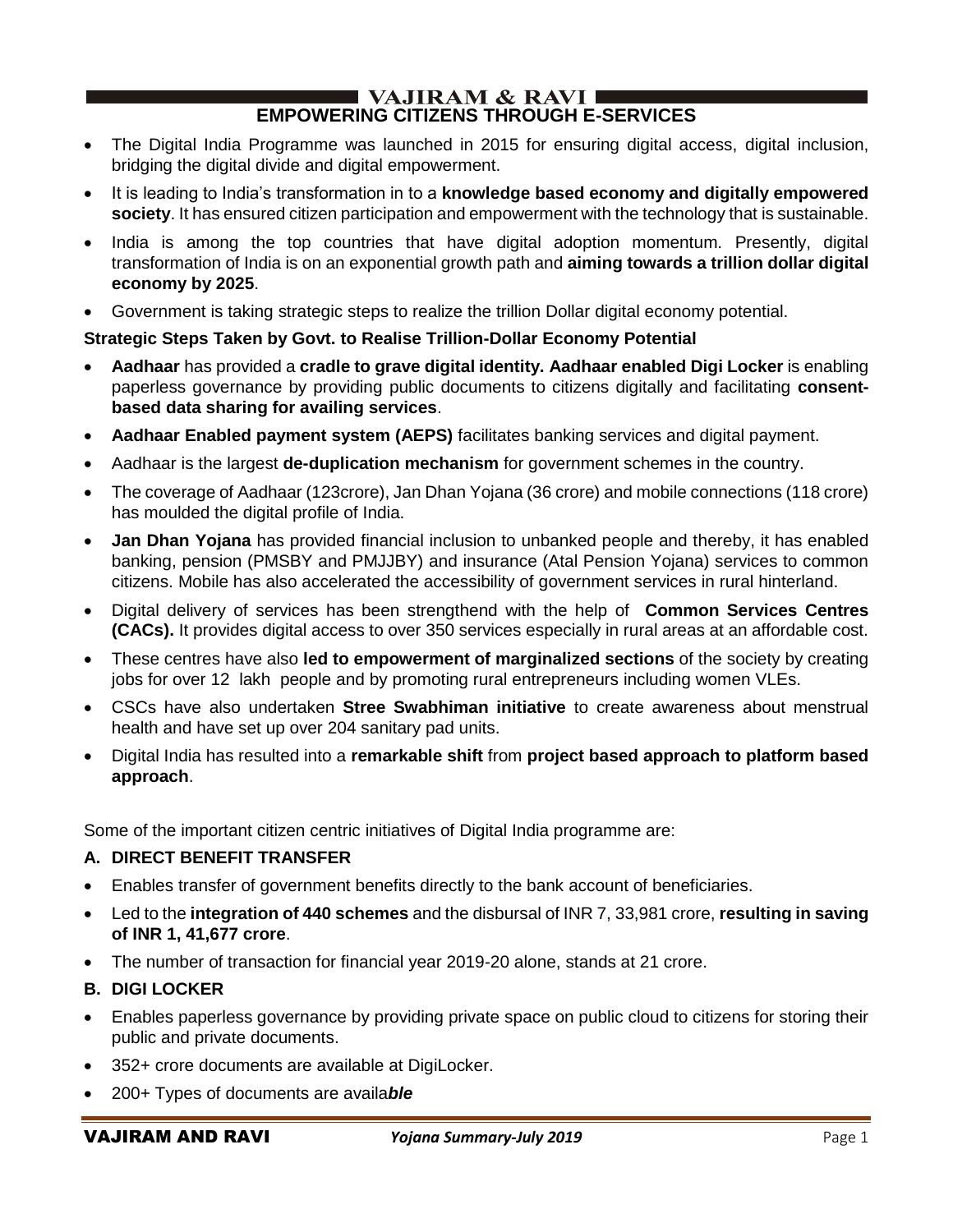#### $\blacksquare$  VAJIRAM & RAVI $\blacksquare$ **EMPOWERING CITIZENS THROUGH E-SERVICES**

- The Digital India Programme was launched in 2015 for ensuring digital access, digital inclusion, bridging the digital divide and digital empowerment.
- It is leading to India's transformation in to a **knowledge based economy and digitally empowered society**. It has ensured citizen participation and empowerment with the technology that is sustainable.
- India is among the top countries that have digital adoption momentum. Presently, digital transformation of India is on an exponential growth path and **aiming towards a trillion dollar digital economy by 2025**.
- Government is taking strategic steps to realize the trillion Dollar digital economy potential.

## **Strategic Steps Taken by Govt. to Realise Trillion-Dollar Economy Potential**

- **Aadhaar** has provided a **cradle to grave digital identity. Aadhaar enabled Digi Locker** is enabling paperless governance by providing public documents to citizens digitally and facilitating **consentbased data sharing for availing services**.
- **Aadhaar Enabled payment system (AEPS)** facilitates banking services and digital payment.
- Aadhaar is the largest **de-duplication mechanism** for government schemes in the country.
- The coverage of Aadhaar (123crore), Jan Dhan Yojana (36 crore) and mobile connections (118 crore) has moulded the digital profile of India.
- **Jan Dhan Yojana** has provided financial inclusion to unbanked people and thereby, it has enabled banking, pension (PMSBY and PMJJBY) and insurance (Atal Pension Yojana) services to common citizens. Mobile has also accelerated the accessibility of government services in rural hinterland.
- Digital delivery of services has been strengthend with the help of **Common Services Centres (CACs).** It provides digital access to over 350 services especially in rural areas at an affordable cost.
- These centres have also **led to empowerment of marginalized sections** of the society by creating jobs for over 12 lakh people and by promoting rural entrepreneurs including women VLEs.
- CSCs have also undertaken **Stree Swabhiman initiative** to create awareness about menstrual health and have set up over 204 sanitary pad units.
- Digital India has resulted into a **remarkable shift** from **project based approach to platform based approach**.

Some of the important citizen centric initiatives of Digital India programme are:

## **A. DIRECT BENEFIT TRANSFER**

- Enables transfer of government benefits directly to the bank account of beneficiaries.
- Led to the **integration of 440 schemes** and the disbursal of INR 7, 33,981 crore, **resulting in saving of INR 1, 41,677 crore**.
- The number of transaction for financial year 2019-20 alone, stands at 21 crore.
- **B. DIGI LOCKER**
- Enables paperless governance by providing private space on public cloud to citizens for storing their public and private documents.
- 352+ crore documents are available at DigiLocker.
- 200+ Types of documents are availa*ble*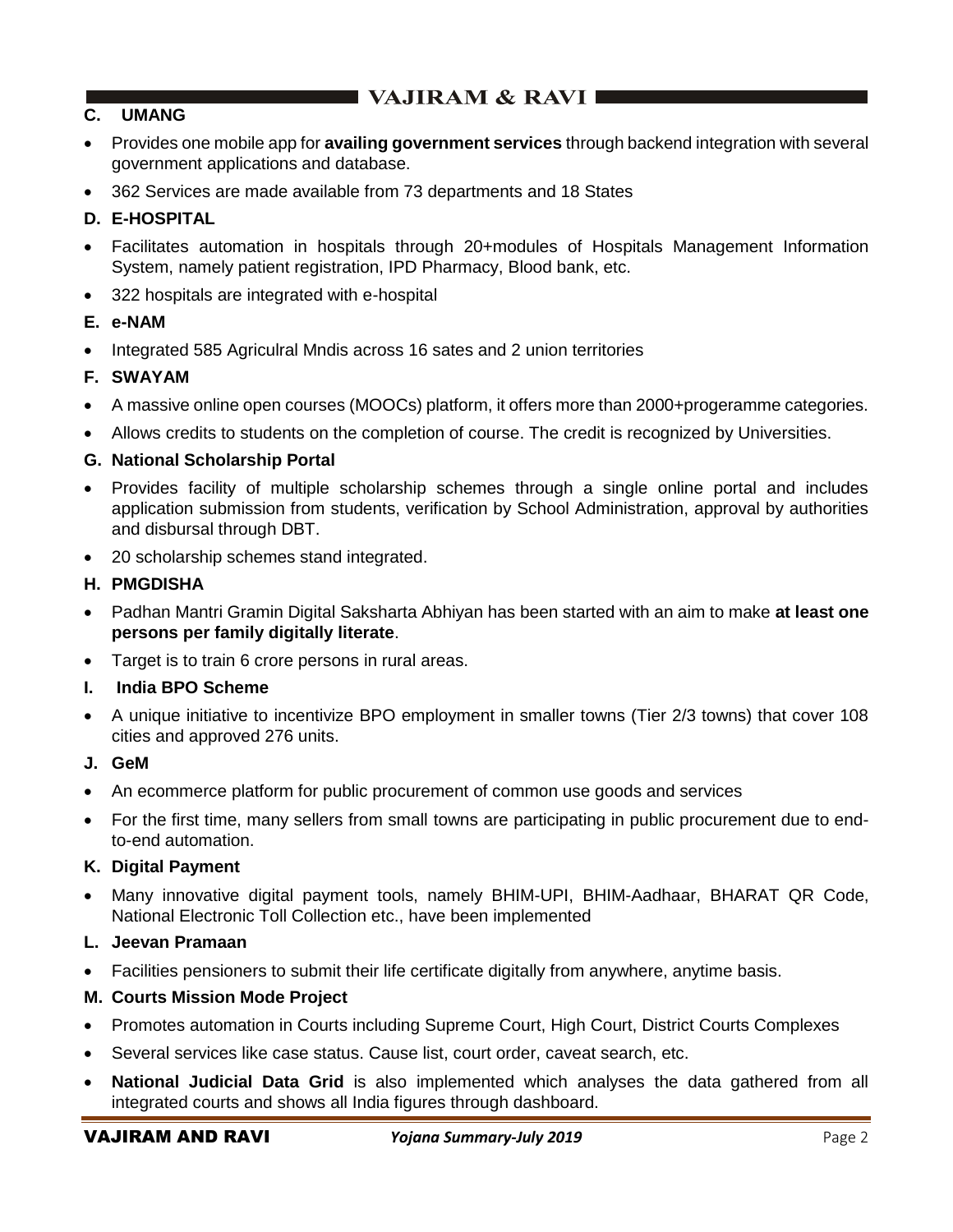## **C.****UMANG**

- Provides one mobile app for **availing government services** through backend integration with several government applications and database.
- 362 Services are made available from 73 departments and 18 States

## **D. E-HOSPITAL**

- Facilitates automation in hospitals through 20+modules of Hospitals Management Information System, namely patient registration, IPD Pharmacy, Blood bank, etc.
- 322 hospitals are integrated with e-hospital

## **E. e-NAM**

• Integrated 585 Agriculral Mndis across 16 sates and 2 union territories

## **F. SWAYAM**

- A massive online open courses (MOOCs) platform, it offers more than 2000+progeramme categories.
- Allows credits to students on the completion of course. The credit is recognized by Universities.

### **G. National Scholarship Portal**

- Provides facility of multiple scholarship schemes through a single online portal and includes application submission from students, verification by School Administration, approval by authorities and disbursal through DBT.
- 20 scholarship schemes stand integrated.

## **H. PMGDISHA**

- Padhan Mantri Gramin Digital Saksharta Abhiyan has been started with an aim to make **at least one persons per family digitally literate**.
- Target is to train 6 crore persons in rural areas.
- **I. India BPO Scheme**
- A unique initiative to incentivize BPO employment in smaller towns (Tier 2/3 towns) that cover 108 cities and approved 276 units.

### **J. GeM**

- An ecommerce platform for public procurement of common use goods and services
- For the first time, many sellers from small towns are participating in public procurement due to endto-end automation.

### **K. Digital Payment**

• Many innovative digital payment tools, namely BHIM-UPI, BHIM-Aadhaar, BHARAT QR Code, National Electronic Toll Collection etc., have been implemented

### **L. Jeevan Pramaan**

• Facilities pensioners to submit their life certificate digitally from anywhere, anytime basis.

### **M. Courts Mission Mode Project**

- Promotes automation in Courts including Supreme Court, High Court, District Courts Complexes
- Several services like case status. Cause list, court order, caveat search, etc.
- **National Judicial Data Grid** is also implemented which analyses the data gathered from all integrated courts and shows all India figures through dashboard.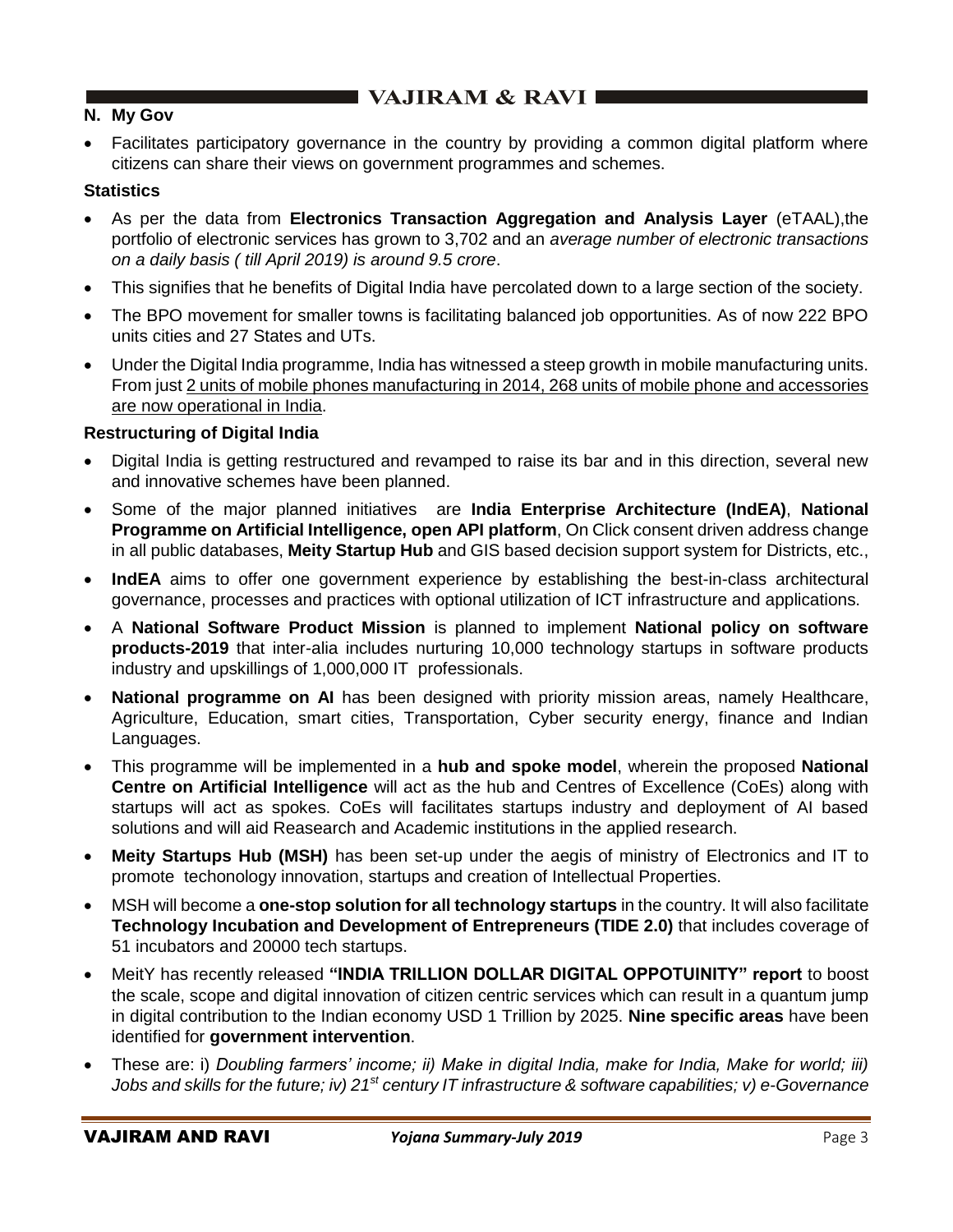## **N. My Gov**

• Facilitates participatory governance in the country by providing a common digital platform where citizens can share their views on government programmes and schemes.

### **Statistics**

- As per the data from **Electronics Transaction Aggregation and Analysis Layer** (eTAAL),the portfolio of electronic services has grown to 3,702 and an *average number of electronic transactions on a daily basis ( till April 2019) is around 9.5 crore*.
- This signifies that he benefits of Digital India have percolated down to a large section of the society.
- The BPO movement for smaller towns is facilitating balanced job opportunities. As of now 222 BPO units cities and 27 States and UTs.
- Under the Digital India programme, India has witnessed a steep growth in mobile manufacturing units. From just 2 units of mobile phones manufacturing in 2014, 268 units of mobile phone and accessories are now operational in India.

### **Restructuring of Digital India**

- Digital India is getting restructured and revamped to raise its bar and in this direction, several new and innovative schemes have been planned.
- Some of the major planned initiatives are **India Enterprise Architecture (IndEA)**, **National Programme on Artificial Intelligence, open API platform**, On Click consent driven address change in all public databases, **Meity Startup Hub** and GIS based decision support system for Districts, etc.,
- **IndEA** aims to offer one government experience by establishing the best-in-class architectural governance, processes and practices with optional utilization of ICT infrastructure and applications.
- A **National Software Product Mission** is planned to implement **National policy on software products-2019** that inter-alia includes nurturing 10,000 technology startups in software products industry and upskillings of 1,000,000 IT professionals.
- **National programme on AI** has been designed with priority mission areas, namely Healthcare, Agriculture, Education, smart cities, Transportation, Cyber security energy, finance and Indian Languages.
- This programme will be implemented in a **hub and spoke model**, wherein the proposed **National Centre on Artificial Intelligence** will act as the hub and Centres of Excellence (CoEs) along with startups will act as spokes. CoEs will facilitates startups industry and deployment of AI based solutions and will aid Reasearch and Academic institutions in the applied research.
- **Meity Startups Hub (MSH)** has been set-up under the aegis of ministry of Electronics and IT to promote techonology innovation, startups and creation of Intellectual Properties.
- MSH will become a **one-stop solution for all technology startups** in the country. It will also facilitate **Technology Incubation and Development of Entrepreneurs (TIDE 2.0)** that includes coverage of 51 incubators and 20000 tech startups.
- MeitY has recently released **"INDIA TRILLION DOLLAR DIGITAL OPPOTUINITY" report** to boost the scale, scope and digital innovation of citizen centric services which can result in a quantum jump in digital contribution to the Indian economy USD 1 Trillion by 2025. **Nine specific areas** have been identified for **government intervention**.
- These are: i) *Doubling farmers' income; ii) Make in digital India, make for India, Make for world; iii) Jobs and skills for the future; iv) 21st century IT infrastructure & software capabilities; v) e-Governance*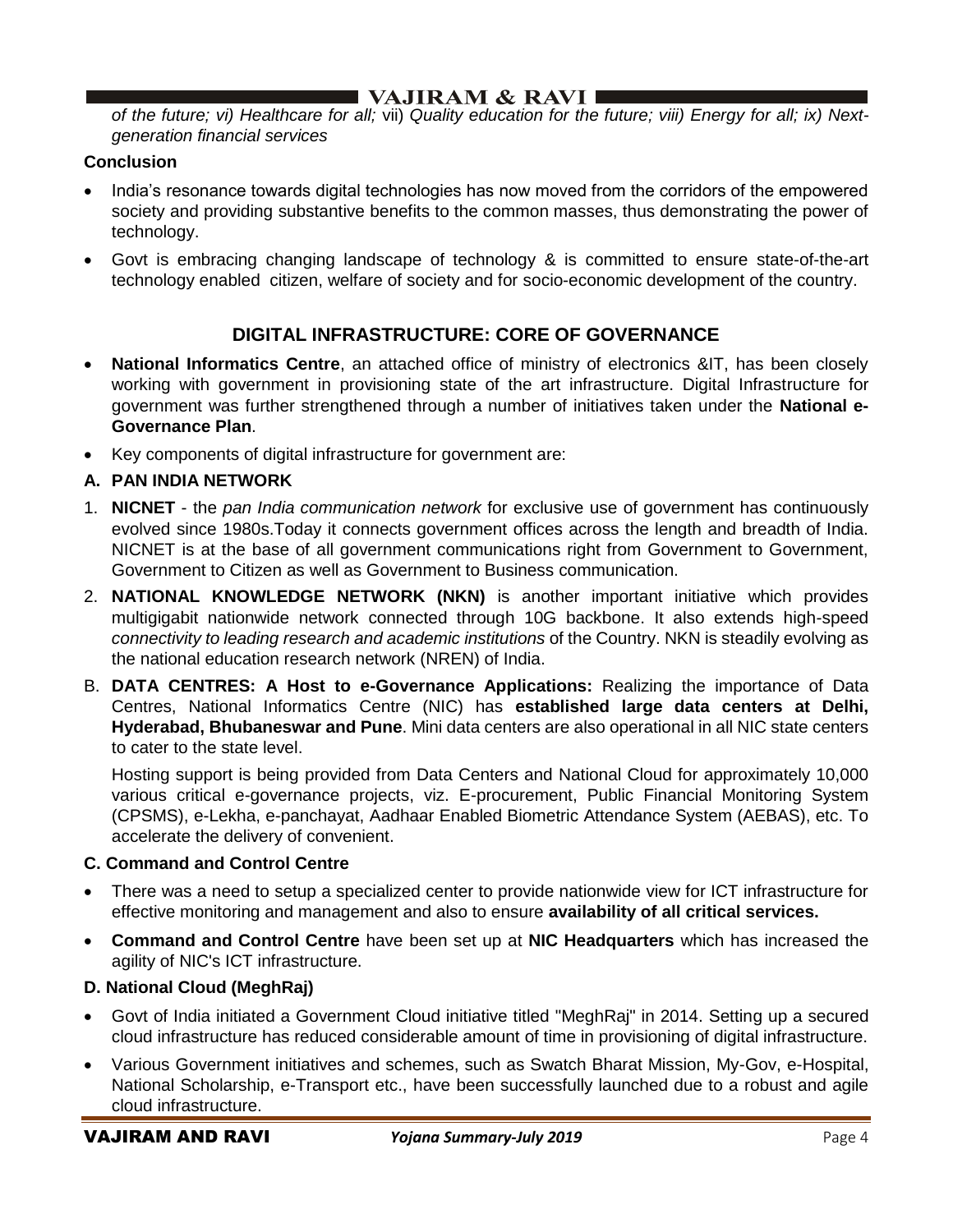*of the future; vi) Healthcare for all;* vii) *Quality education for the future; viii) Energy for all; ix) Nextgeneration financial services*

## **Conclusion**

- India's resonance towards digital technologies has now moved from the corridors of the empowered society and providing substantive benefits to the common masses, thus demonstrating the power of technology.
- Govt is embracing changing landscape of technology & is committed to ensure state-of-the-art technology enabled citizen, welfare of society and for socio-economic development of the country.

## **DIGITAL INFRASTRUCTURE: CORE OF GOVERNANCE**

- **National Informatics Centre**, an attached office of ministry of electronics &IT, has been closely working with government in provisioning state of the art infrastructure. Digital Infrastructure for government was further strengthened through a number of initiatives taken under the **National e-Governance Plan**.
- Key components of digital infrastructure for government are:

## **A. PAN INDIA NETWORK**

- 1. **NICNET** the *pan India communication network* for exclusive use of government has continuously evolved since 1980s.Today it connects government offices across the length and breadth of India. NICNET is at the base of all government communications right from Government to Government, Government to Citizen as well as Government to Business communication.
- 2. **NATIONAL KNOWLEDGE NETWORK (NKN)** is another important initiative which provides multigigabit nationwide network connected through 10G backbone. It also extends high-speed *connectivity to leading research and academic institutions* of the Country. NKN is steadily evolving as the national education research network (NREN) of India.
- B. **DATA CENTRES: A Host to e-Governance Applications:** Realizing the importance of Data Centres, National Informatics Centre (NIC) has **established large data centers at Delhi, Hyderabad, Bhubaneswar and Pune**. Mini data centers are also operational in all NIC state centers to cater to the state level.

Hosting support is being provided from Data Centers and National Cloud for approximately 10,000 various critical e-governance projects, viz. E-procurement, Public Financial Monitoring System (CPSMS), e-Lekha, e-panchayat, Aadhaar Enabled Biometric Attendance System (AEBAS), etc. To accelerate the delivery of convenient.

### **C. Command and Control Centre**

- There was a need to setup a specialized center to provide nationwide view for ICT infrastructure for effective monitoring and management and also to ensure **availability of all critical services.**
- **Command and Control Centre** have been set up at **NIC Headquarters** which has increased the agility of NIC's ICT infrastructure.

## **D. National Cloud (MeghRaj)**

- Govt of India initiated a Government Cloud initiative titled "MeghRaj" in 2014. Setting up a secured cloud infrastructure has reduced considerable amount of time in provisioning of digital infrastructure.
- Various Government initiatives and schemes, such as Swatch Bharat Mission, My-Gov, e-Hospital, National Scholarship, e-Transport etc., have been successfully launched due to a robust and agile cloud infrastructure.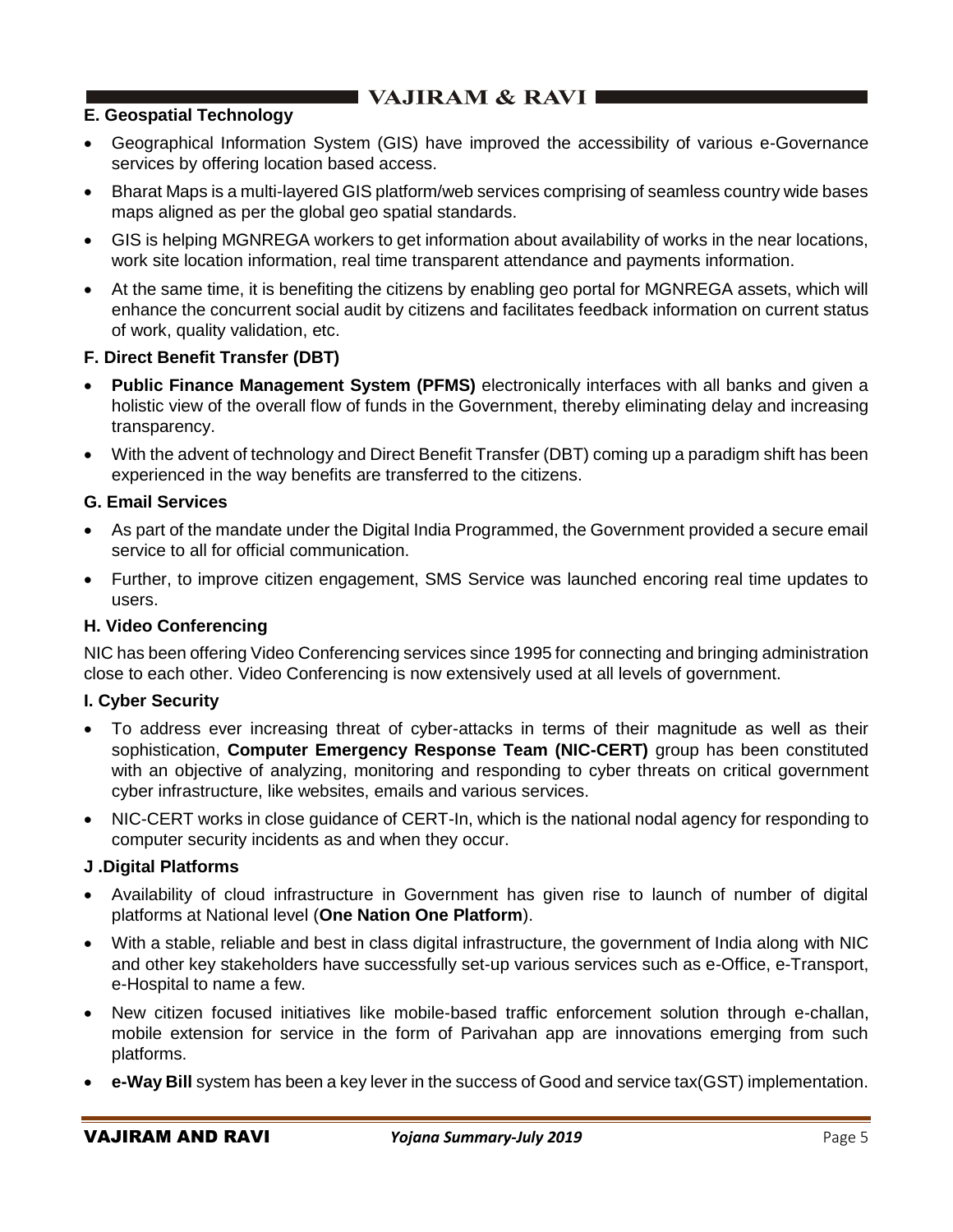## **E. Geospatial Technology**

- Geographical Information System (GIS) have improved the accessibility of various e-Governance services by offering location based access.
- Bharat Maps is a multi-layered GIS platform/web services comprising of seamless country wide bases maps aligned as per the global geo spatial standards.
- GIS is helping MGNREGA workers to get information about availability of works in the near locations, work site location information, real time transparent attendance and payments information.
- At the same time, it is benefiting the citizens by enabling geo portal for MGNREGA assets, which will enhance the concurrent social audit by citizens and facilitates feedback information on current status of work, quality validation, etc.

## **F. Direct Benefit Transfer (DBT)**

- **Public Finance Management System (PFMS)** electronically interfaces with all banks and given a holistic view of the overall flow of funds in the Government, thereby eliminating delay and increasing transparency.
- With the advent of technology and Direct Benefit Transfer (DBT) coming up a paradigm shift has been experienced in the way benefits are transferred to the citizens.

## **G. Email Services**

- As part of the mandate under the Digital India Programmed, the Government provided a secure email service to all for official communication.
- Further, to improve citizen engagement, SMS Service was launched encoring real time updates to users.

### **H. Video Conferencing**

NIC has been offering Video Conferencing services since 1995 for connecting and bringing administration close to each other. Video Conferencing is now extensively used at all levels of government.

### **I. Cyber Security**

- To address ever increasing threat of cyber-attacks in terms of their magnitude as well as their sophistication, **Computer Emergency Response Team (NIC-CERT)** group has been constituted with an objective of analyzing, monitoring and responding to cyber threats on critical government cyber infrastructure, like websites, emails and various services.
- NIC-CERT works in close guidance of CERT-In, which is the national nodal agency for responding to computer security incidents as and when they occur.

### **J .Digital Platforms**

- Availability of cloud infrastructure in Government has given rise to launch of number of digital platforms at National level (**One Nation One Platform**).
- With a stable, reliable and best in class digital infrastructure, the government of India along with NIC and other key stakeholders have successfully set-up various services such as e-Office, e-Transport, e-Hospital to name a few.
- New citizen focused initiatives like mobile-based traffic enforcement solution through e-challan, mobile extension for service in the form of Parivahan app are innovations emerging from such platforms.
- **e-Way Bill** system has been a key lever in the success of Good and service tax(GST) implementation.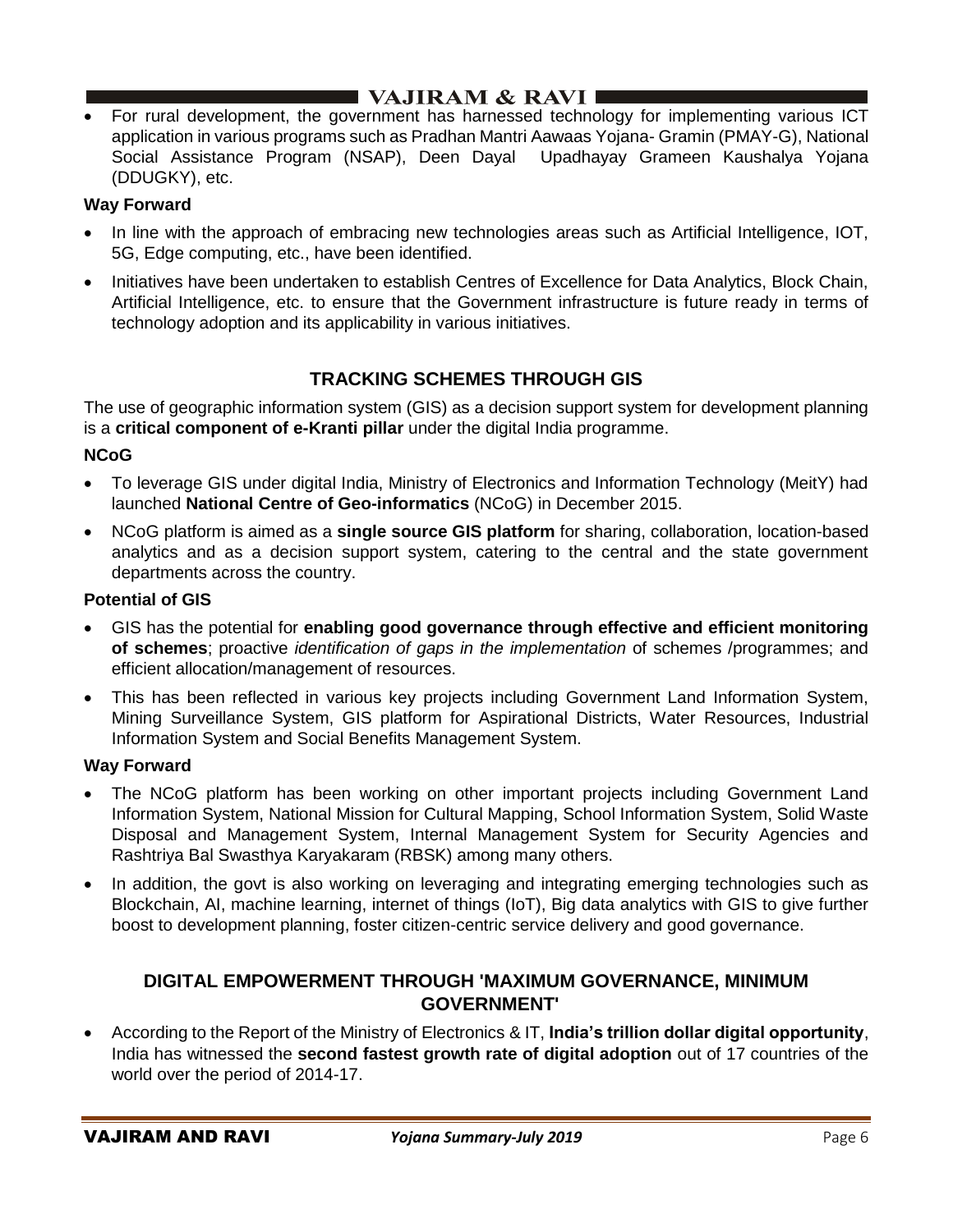• For rural development, the government has harnessed technology for implementing various ICT application in various programs such as Pradhan Mantri Aawaas Yojana- Gramin (PMAY-G), National Social Assistance Program (NSAP), Deen Dayal Upadhayay Grameen Kaushalya Yojana (DDUGKY), etc.

## **Way Forward**

- In line with the approach of embracing new technologies areas such as Artificial Intelligence, IOT, 5G, Edge computing, etc., have been identified.
- Initiatives have been undertaken to establish Centres of Excellence for Data Analytics, Block Chain, Artificial Intelligence, etc. to ensure that the Government infrastructure is future ready in terms of technology adoption and its applicability in various initiatives.

# **TRACKING SCHEMES THROUGH GIS**

The use of geographic information system (GIS) as a decision support system for development planning is a **critical component of e-Kranti pillar** under the digital India programme.

## **NCoG**

- To leverage GIS under digital India, Ministry of Electronics and Information Technology (MeitY) had launched **National Centre of Geo-informatics** (NCoG) in December 2015.
- NCoG platform is aimed as a **single source GIS platform** for sharing, collaboration, location-based analytics and as a decision support system, catering to the central and the state government departments across the country.

## **Potential of GIS**

- GIS has the potential for **enabling good governance through effective and efficient monitoring of schemes**; proactive *identification of gaps in the implementation* of schemes /programmes; and efficient allocation/management of resources.
- This has been reflected in various key projects including Government Land Information System, Mining Surveillance System, GIS platform for Aspirational Districts, Water Resources, Industrial Information System and Social Benefits Management System.

## **Way Forward**

- The NCoG platform has been working on other important projects including Government Land Information System, National Mission for Cultural Mapping, School Information System, Solid Waste Disposal and Management System, Internal Management System for Security Agencies and Rashtriya Bal Swasthya Karyakaram (RBSK) among many others.
- In addition, the govt is also working on leveraging and integrating emerging technologies such as Blockchain, AI, machine learning, internet of things (IoT), Big data analytics with GIS to give further boost to development planning, foster citizen-centric service delivery and good governance.

## **DIGITAL EMPOWERMENT THROUGH 'MAXIMUM GOVERNANCE, MINIMUM GOVERNMENT'**

• According to the Report of the Ministry of Electronics & IT, **India's trillion dollar digital opportunity**, India has witnessed the **second fastest growth rate of digital adoption** out of 17 countries of the world over the period of 2014-17.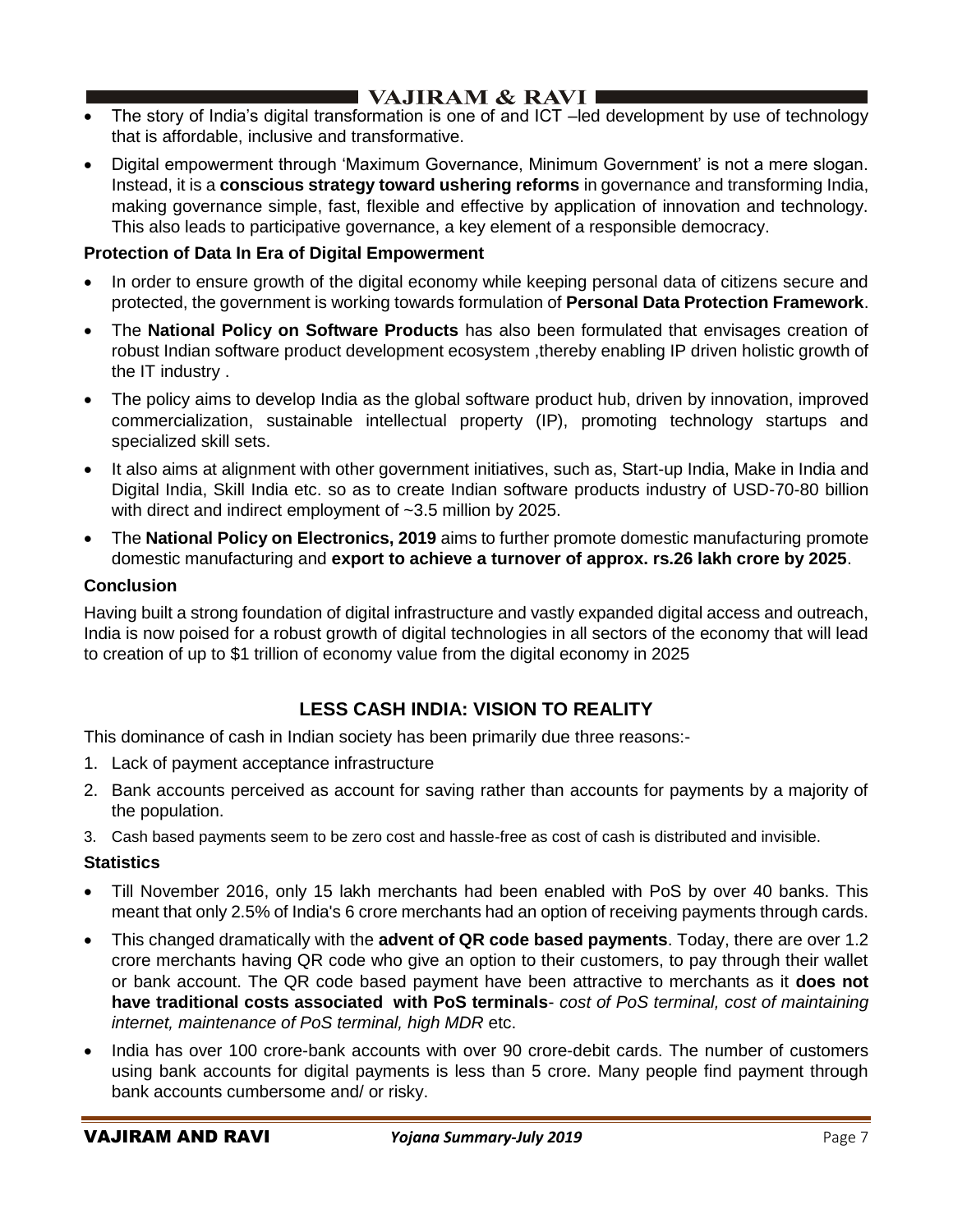- The story of India's digital transformation is one of and ICT –led development by use of technology that is affordable, inclusive and transformative.
- Digital empowerment through 'Maximum Governance, Minimum Government' is not a mere slogan. Instead, it is a **conscious strategy toward ushering reforms** in governance and transforming India, making governance simple, fast, flexible and effective by application of innovation and technology. This also leads to participative governance, a key element of a responsible democracy.

## **Protection of Data In Era of Digital Empowerment**

- In order to ensure growth of the digital economy while keeping personal data of citizens secure and protected, the government is working towards formulation of **Personal Data Protection Framework**.
- The **National Policy on Software Products** has also been formulated that envisages creation of robust Indian software product development ecosystem ,thereby enabling IP driven holistic growth of the IT industry .
- The policy aims to develop India as the global software product hub, driven by innovation, improved commercialization, sustainable intellectual property (IP), promoting technology startups and specialized skill sets.
- It also aims at alignment with other government initiatives, such as, Start-up India, Make in India and Digital India, Skill India etc. so as to create Indian software products industry of USD-70-80 billion with direct and indirect employment of ~3.5 million by 2025.
- The **National Policy on Electronics, 2019** aims to further promote domestic manufacturing promote domestic manufacturing and **export to achieve a turnover of approx. rs.26 lakh crore by 2025**.

## **Conclusion**

Having built a strong foundation of digital infrastructure and vastly expanded digital access and outreach, India is now poised for a robust growth of digital technologies in all sectors of the economy that will lead to creation of up to \$1 trillion of economy value from the digital economy in 2025

# **LESS CASH INDIA: VISION TO REALITY**

This dominance of cash in Indian society has been primarily due three reasons:-

- 1. Lack of payment acceptance infrastructure
- 2. Bank accounts perceived as account for saving rather than accounts for payments by a majority of the population.
- 3. Cash based payments seem to be zero cost and hassle-free as cost of cash is distributed and invisible.

## **Statistics**

- Till November 2016, only 15 lakh merchants had been enabled with PoS by over 40 banks. This meant that only 2.5% of India's 6 crore merchants had an option of receiving payments through cards.
- This changed dramatically with the **advent of QR code based payments**. Today, there are over 1.2 crore merchants having QR code who give an option to their customers, to pay through their wallet or bank account. The QR code based payment have been attractive to merchants as it **does not have traditional costs associated with PoS terminals**- *cost of PoS terminal, cost of maintaining internet, maintenance of PoS terminal, high MDR* etc.
- India has over 100 crore-bank accounts with over 90 crore-debit cards. The number of customers using bank accounts for digital payments is less than 5 crore. Many people find payment through bank accounts cumbersome and/ or risky.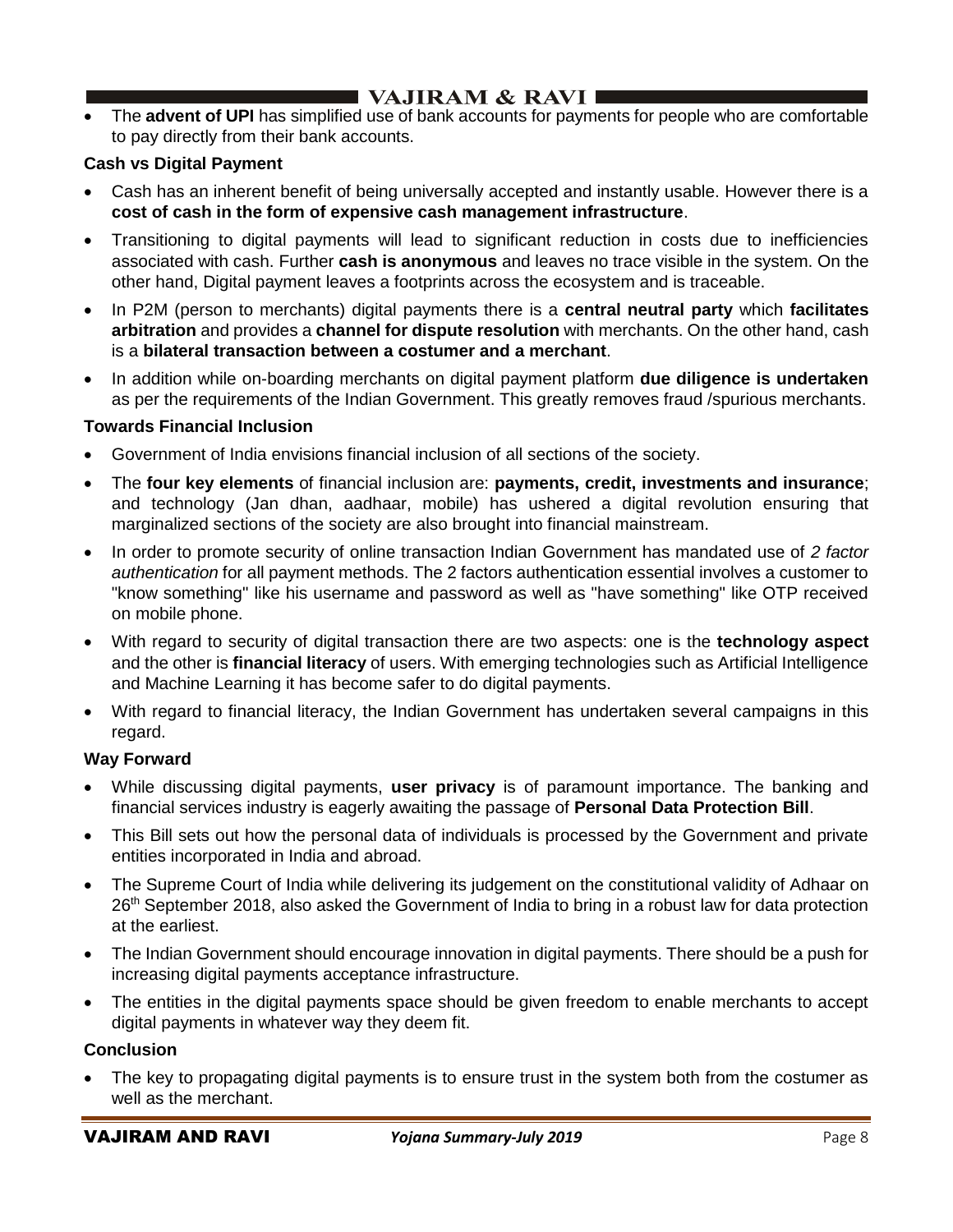• The **advent of UPI** has simplified use of bank accounts for payments for people who are comfortable to pay directly from their bank accounts.

## **Cash vs Digital Payment**

- Cash has an inherent benefit of being universally accepted and instantly usable. However there is a **cost of cash in the form of expensive cash management infrastructure**.
- Transitioning to digital payments will lead to significant reduction in costs due to inefficiencies associated with cash. Further **cash is anonymous** and leaves no trace visible in the system. On the other hand, Digital payment leaves a footprints across the ecosystem and is traceable.
- In P2M (person to merchants) digital payments there is a **central neutral party** which **facilitates arbitration** and provides a **channel for dispute resolution** with merchants. On the other hand, cash is a **bilateral transaction between a costumer and a merchant**.
- In addition while on-boarding merchants on digital payment platform **due diligence is undertaken** as per the requirements of the Indian Government. This greatly removes fraud /spurious merchants.

### **Towards Financial Inclusion**

- Government of India envisions financial inclusion of all sections of the society.
- The **four key elements** of financial inclusion are: **payments, credit, investments and insurance**; and technology (Jan dhan, aadhaar, mobile) has ushered a digital revolution ensuring that marginalized sections of the society are also brought into financial mainstream.
- In order to promote security of online transaction Indian Government has mandated use of *2 factor authentication* for all payment methods. The 2 factors authentication essential involves a customer to "know something" like his username and password as well as "have something" like OTP received on mobile phone.
- With regard to security of digital transaction there are two aspects: one is the **technology aspect**  and the other is **financial literacy** of users. With emerging technologies such as Artificial Intelligence and Machine Learning it has become safer to do digital payments.
- With regard to financial literacy, the Indian Government has undertaken several campaigns in this regard.

### **Way Forward**

- While discussing digital payments, **user privacy** is of paramount importance. The banking and financial services industry is eagerly awaiting the passage of **Personal Data Protection Bill**.
- This Bill sets out how the personal data of individuals is processed by the Government and private entities incorporated in India and abroad.
- The Supreme Court of India while delivering its judgement on the constitutional validity of Adhaar on 26<sup>th</sup> September 2018, also asked the Government of India to bring in a robust law for data protection at the earliest.
- The Indian Government should encourage innovation in digital payments. There should be a push for increasing digital payments acceptance infrastructure.
- The entities in the digital payments space should be given freedom to enable merchants to accept digital payments in whatever way they deem fit.

### **Conclusion**

The key to propagating digital payments is to ensure trust in the system both from the costumer as well as the merchant.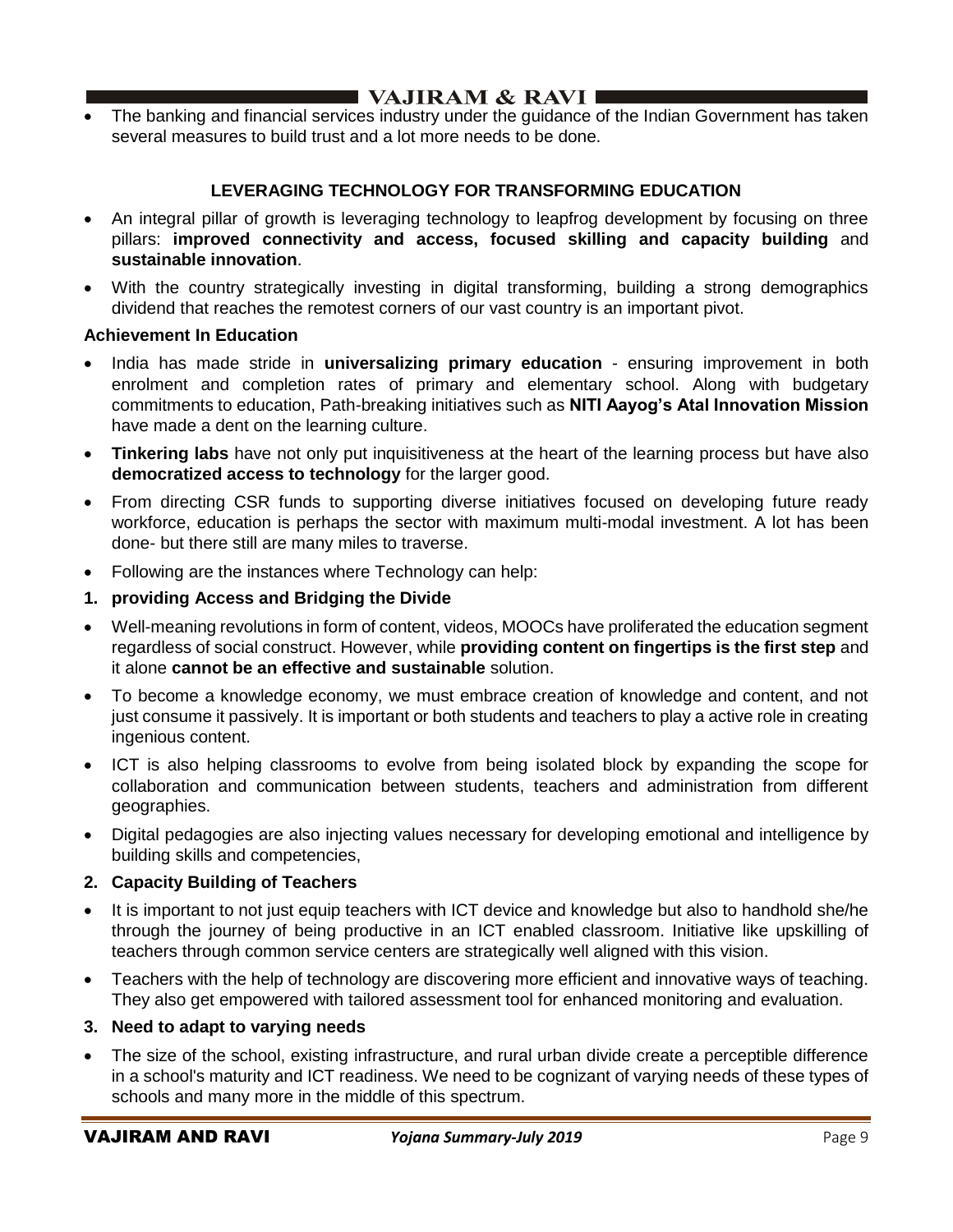• The banking and financial services industry under the guidance of the Indian Government has taken several measures to build trust and a lot more needs to be done.

## **LEVERAGING TECHNOLOGY FOR TRANSFORMING EDUCATION**

- An integral pillar of growth is leveraging technology to leapfrog development by focusing on three pillars: **improved connectivity and access, focused skilling and capacity building** and **sustainable innovation**.
- With the country strategically investing in digital transforming, building a strong demographics dividend that reaches the remotest corners of our vast country is an important pivot.

#### **Achievement In Education**

- India has made stride in **universalizing primary education**  ensuring improvement in both enrolment and completion rates of primary and elementary school. Along with budgetary commitments to education, Path-breaking initiatives such as **NITI Aayog's Atal Innovation Mission** have made a dent on the learning culture.
- **Tinkering labs** have not only put inquisitiveness at the heart of the learning process but have also **democratized access to technology** for the larger good.
- From directing CSR funds to supporting diverse initiatives focused on developing future ready workforce, education is perhaps the sector with maximum multi-modal investment. A lot has been done- but there still are many miles to traverse.
- Following are the instances where Technology can help:
- **1. providing Access and Bridging the Divide**
- Well-meaning revolutions in form of content, videos, MOOCs have proliferated the education segment regardless of social construct. However, while **providing content on fingertips is the first step** and it alone **cannot be an effective and sustainable** solution.
- To become a knowledge economy, we must embrace creation of knowledge and content, and not just consume it passively. It is important or both students and teachers to play a active role in creating ingenious content.
- ICT is also helping classrooms to evolve from being isolated block by expanding the scope for collaboration and communication between students, teachers and administration from different geographies.
- Digital pedagogies are also injecting values necessary for developing emotional and intelligence by building skills and competencies,

### **2. Capacity Building of Teachers**

- It is important to not just equip teachers with ICT device and knowledge but also to handhold she/he through the journey of being productive in an ICT enabled classroom. Initiative like upskilling of teachers through common service centers are strategically well aligned with this vision.
- Teachers with the help of technology are discovering more efficient and innovative ways of teaching. They also get empowered with tailored assessment tool for enhanced monitoring and evaluation.

### **3. Need to adapt to varying needs**

The size of the school, existing infrastructure, and rural urban divide create a perceptible difference in a school's maturity and ICT readiness. We need to be cognizant of varying needs of these types of schools and many more in the middle of this spectrum.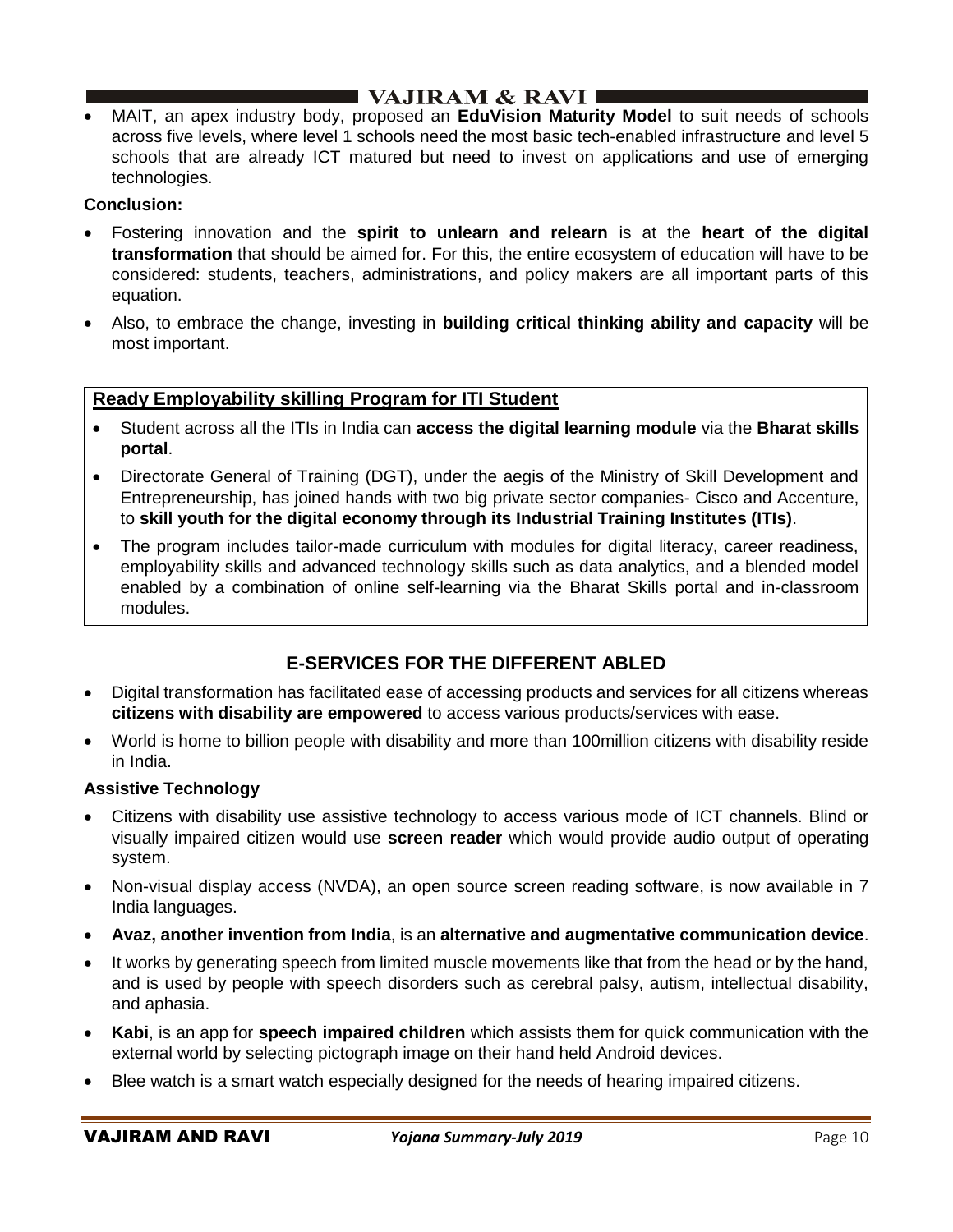## I VAJIRAM & RAVI ∎

• MAIT, an apex industry body, proposed an **EduVision Maturity Model** to suit needs of schools across five levels, where level 1 schools need the most basic tech-enabled infrastructure and level 5 schools that are already ICT matured but need to invest on applications and use of emerging technologies.

### **Conclusion:**

- Fostering innovation and the **spirit to unlearn and relearn** is at the **heart of the digital transformation** that should be aimed for. For this, the entire ecosystem of education will have to be considered: students, teachers, administrations, and policy makers are all important parts of this equation.
- Also, to embrace the change, investing in **building critical thinking ability and capacity** will be most important.

## **Ready Employability skilling Program for ITI Student**

- Student across all the ITIs in India can **access the digital learning module** via the **Bharat skills portal**.
- Directorate General of Training (DGT), under the aegis of the Ministry of Skill Development and Entrepreneurship, has joined hands with two big private sector companies- Cisco and Accenture, to **skill youth for the digital economy through its Industrial Training Institutes (ITIs)**.
- The program includes tailor-made curriculum with modules for digital literacy, career readiness, employability skills and advanced technology skills such as data analytics, and a blended model enabled by a combination of online self-learning via the Bharat Skills portal and in-classroom modules.

## **E-SERVICES FOR THE DIFFERENT ABLED**

- Digital transformation has facilitated ease of accessing products and services for all citizens whereas **citizens with disability are empowered** to access various products/services with ease.
- World is home to billion people with disability and more than 100million citizens with disability reside in India.

### **Assistive Technology**

- Citizens with disability use assistive technology to access various mode of ICT channels. Blind or visually impaired citizen would use **screen reader** which would provide audio output of operating system.
- Non-visual display access (NVDA), an open source screen reading software, is now available in 7 India languages.
- **Avaz, another invention from India**, is an **alternative and augmentative communication device**.
- It works by generating speech from limited muscle movements like that from the head or by the hand, and is used by people with speech disorders such as cerebral palsy, autism, intellectual disability, and aphasia.
- **Kabi**, is an app for **speech impaired children** which assists them for quick communication with the external world by selecting pictograph image on their hand held Android devices.
- Blee watch is a smart watch especially designed for the needs of hearing impaired citizens.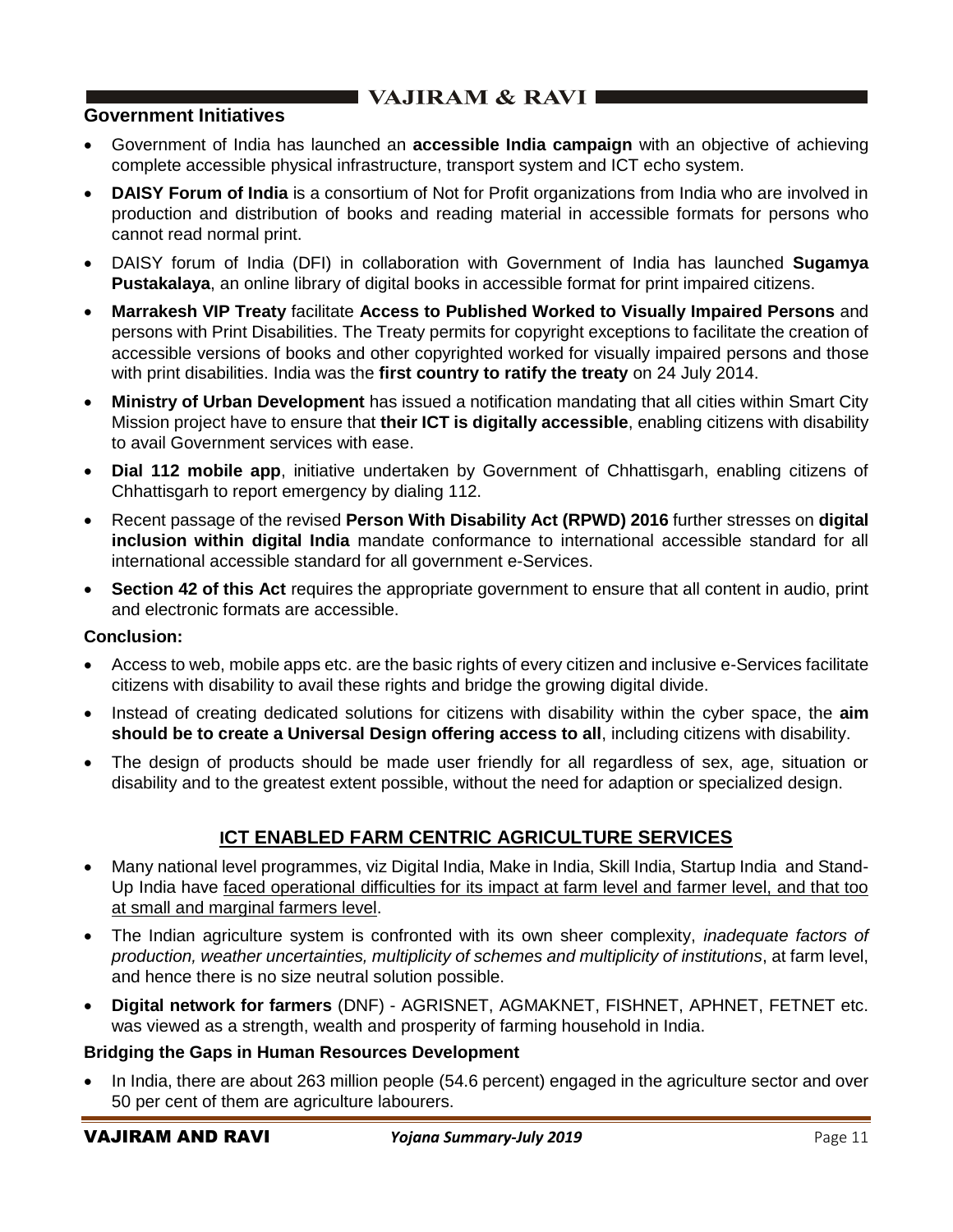## **Government Initiatives**

- Government of India has launched an **accessible India campaign** with an objective of achieving complete accessible physical infrastructure, transport system and ICT echo system.
- **DAISY Forum of India** is a consortium of Not for Profit organizations from India who are involved in production and distribution of books and reading material in accessible formats for persons who cannot read normal print.
- DAISY forum of India (DFI) in collaboration with Government of India has launched **Sugamya Pustakalaya**, an online library of digital books in accessible format for print impaired citizens.
- **Marrakesh VIP Treaty** facilitate **Access to Published Worked to Visually Impaired Persons** and persons with Print Disabilities. The Treaty permits for copyright exceptions to facilitate the creation of accessible versions of books and other copyrighted worked for visually impaired persons and those with print disabilities. India was the **first country to ratify the treaty** on 24 July 2014.
- **Ministry of Urban Development** has issued a notification mandating that all cities within Smart City Mission project have to ensure that **their ICT is digitally accessible**, enabling citizens with disability to avail Government services with ease.
- **Dial 112 mobile app**, initiative undertaken by Government of Chhattisgarh, enabling citizens of Chhattisgarh to report emergency by dialing 112.
- Recent passage of the revised **Person With Disability Act (RPWD) 2016** further stresses on **digital inclusion within digital India** mandate conformance to international accessible standard for all international accessible standard for all government e-Services.
- **Section 42 of this Act** requires the appropriate government to ensure that all content in audio, print and electronic formats are accessible.

### **Conclusion:**

- Access to web, mobile apps etc. are the basic rights of every citizen and inclusive e-Services facilitate citizens with disability to avail these rights and bridge the growing digital divide.
- Instead of creating dedicated solutions for citizens with disability within the cyber space, the **aim should be to create a Universal Design offering access to all**, including citizens with disability.
- The design of products should be made user friendly for all regardless of sex, age, situation or disability and to the greatest extent possible, without the need for adaption or specialized design.

## **ICT ENABLED FARM CENTRIC AGRICULTURE SERVICES**

- Many national level programmes, viz Digital India, Make in India, Skill India, Startup India and Stand-Up India have faced operational difficulties for its impact at farm level and farmer level, and that too at small and marginal farmers level.
- The Indian agriculture system is confronted with its own sheer complexity, *inadequate factors of production, weather uncertainties, multiplicity of schemes and multiplicity of institutions*, at farm level, and hence there is no size neutral solution possible.
- **Digital network for farmers** (DNF) AGRISNET, AGMAKNET, FISHNET, APHNET, FETNET etc. was viewed as a strength, wealth and prosperity of farming household in India.

### **Bridging the Gaps in Human Resources Development**

• In India, there are about 263 million people (54.6 percent) engaged in the agriculture sector and over 50 per cent of them are agriculture labourers.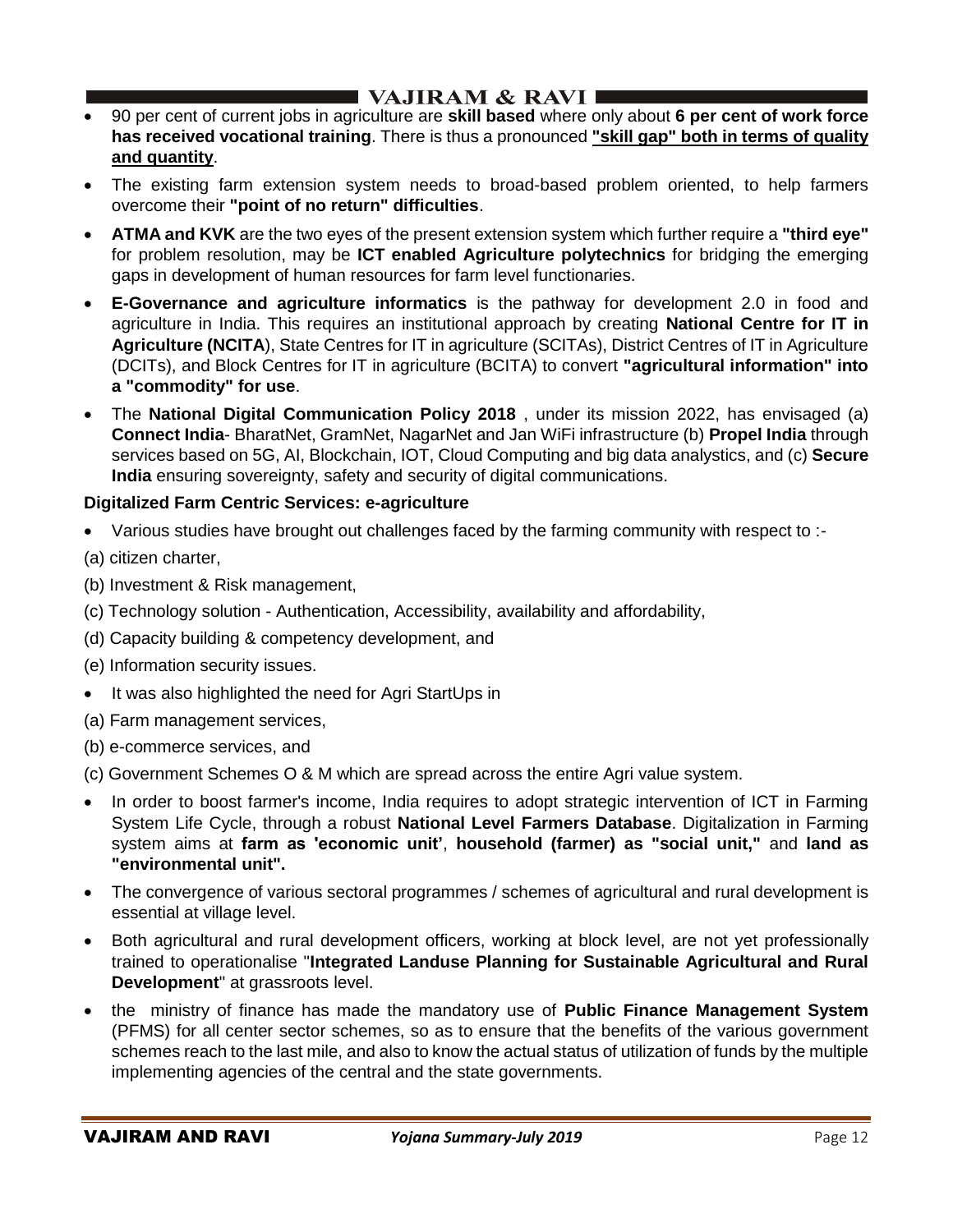- 90 per cent of current jobs in agriculture are **skill based** where only about **6 per cent of work force has received vocational training**. There is thus a pronounced **"skill gap" both in terms of quality and quantity**.
- The existing farm extension system needs to broad-based problem oriented, to help farmers overcome their **"point of no return" difficulties**.
- **ATMA and KVK** are the two eyes of the present extension system which further require a **"third eye"**  for problem resolution, may be **ICT enabled Agriculture polytechnics** for bridging the emerging gaps in development of human resources for farm level functionaries.
- **E-Governance and agriculture informatics** is the pathway for development 2.0 in food and agriculture in India. This requires an institutional approach by creating **National Centre for IT in Agriculture (NCITA**), State Centres for IT in agriculture (SCITAs), District Centres of IT in Agriculture (DCITs), and Block Centres for IT in agriculture (BCITA) to convert **"agricultural information" into a "commodity" for use**.
- The **National Digital Communication Policy 2018** , under its mission 2022, has envisaged (a) **Connect India**- BharatNet, GramNet, NagarNet and Jan WiFi infrastructure (b) **Propel India** through services based on 5G, AI, Blockchain, IOT, Cloud Computing and big data analystics, and (c) **Secure India** ensuring sovereignty, safety and security of digital communications.

## **Digitalized Farm Centric Services: e-agriculture**

• Various studies have brought out challenges faced by the farming community with respect to :-

(a) citizen charter,

- (b) Investment & Risk management,
- (c) Technology solution Authentication, Accessibility, availability and affordability,
- (d) Capacity building & competency development, and
- (e) Information security issues.
- It was also highlighted the need for Agri StartUps in
- (a) Farm management services,
- (b) e-commerce services, and
- (c) Government Schemes O & M which are spread across the entire Agri value system.
- In order to boost farmer's income, India requires to adopt strategic intervention of ICT in Farming System Life Cycle, through a robust **National Level Farmers Database**. Digitalization in Farming system aims at **farm as 'economic unit'**, **household (farmer) as "social unit,"** and **land as "environmental unit".**
- The convergence of various sectoral programmes / schemes of agricultural and rural development is essential at village level.
- Both agricultural and rural development officers, working at block level, are not yet professionally trained to operationalise "**Integrated Landuse Planning for Sustainable Agricultural and Rural Development**" at grassroots level.
- the ministry of finance has made the mandatory use of **Public Finance Management System** (PFMS) for all center sector schemes, so as to ensure that the benefits of the various government schemes reach to the last mile, and also to know the actual status of utilization of funds by the multiple implementing agencies of the central and the state governments.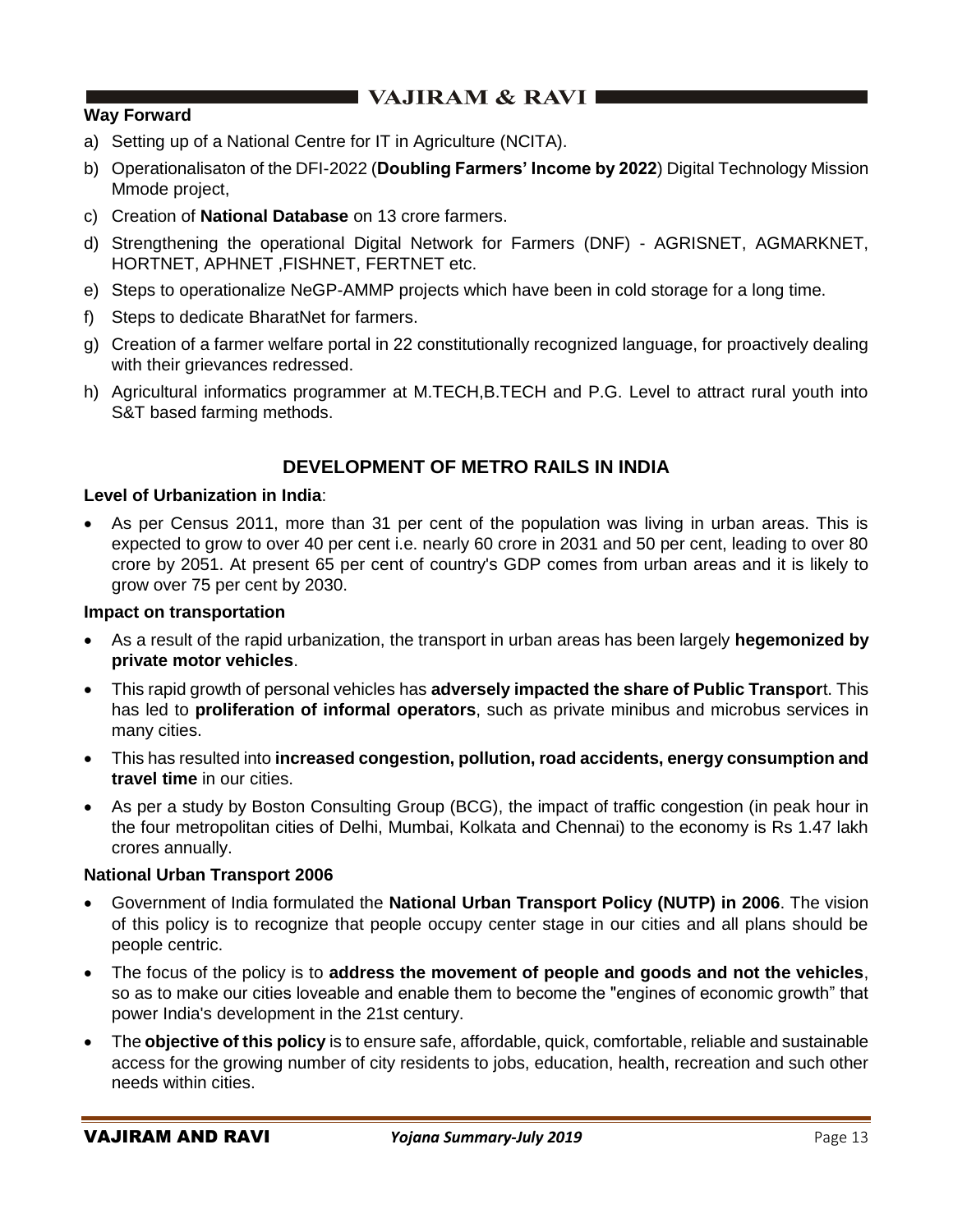## **Way Forward**

- a) Setting up of a National Centre for IT in Agriculture (NCITA).
- b) Operationalisaton of the DFI-2022 (**Doubling Farmers' Income by 2022**) Digital Technology Mission Mmode project,
- c) Creation of **National Database** on 13 crore farmers.
- d) Strengthening the operational Digital Network for Farmers (DNF) AGRISNET, AGMARKNET, HORTNET, APHNET ,FISHNET, FERTNET etc.
- e) Steps to operationalize NeGP-AMMP projects which have been in cold storage for a long time.
- f) Steps to dedicate BharatNet for farmers.
- g) Creation of a farmer welfare portal in 22 constitutionally recognized language, for proactively dealing with their grievances redressed.
- h) Agricultural informatics programmer at M.TECH,B.TECH and P.G. Level to attract rural youth into S&T based farming methods.

## **DEVELOPMENT OF METRO RAILS IN INDIA**

### **Level of Urbanization in India**:

• As per Census 2011, more than 31 per cent of the population was living in urban areas. This is expected to grow to over 40 per cent i.e. nearly 60 crore in 2031 and 50 per cent, leading to over 80 crore by 2051. At present 65 per cent of country's GDP comes from urban areas and it is likely to grow over 75 per cent by 2030.

#### **Impact on transportation**

- As a result of the rapid urbanization, the transport in urban areas has been largely **hegemonized by private motor vehicles**.
- This rapid growth of personal vehicles has **adversely impacted the share of Public Transpor**t. This has led to **proliferation of informal operators**, such as private minibus and microbus services in many cities.
- This has resulted into **increased congestion, pollution, road accidents, energy consumption and travel time** in our cities.
- As per a study by Boston Consulting Group (BCG), the impact of traffic congestion (in peak hour in the four metropolitan cities of Delhi, Mumbai, Kolkata and Chennai) to the economy is Rs 1.47 lakh crores annually.

#### **National Urban Transport 2006**

- Government of India formulated the **National Urban Transport Policy (NUTP) in 2006**. The vision of this policy is to recognize that people occupy center stage in our cities and all plans should be people centric.
- The focus of the policy is to **address the movement of people and goods and not the vehicles**, so as to make our cities loveable and enable them to become the "engines of economic growth" that power India's development in the 21st century.
- The **objective of this policy** is to ensure safe, affordable, quick, comfortable, reliable and sustainable access for the growing number of city residents to jobs, education, health, recreation and such other needs within cities.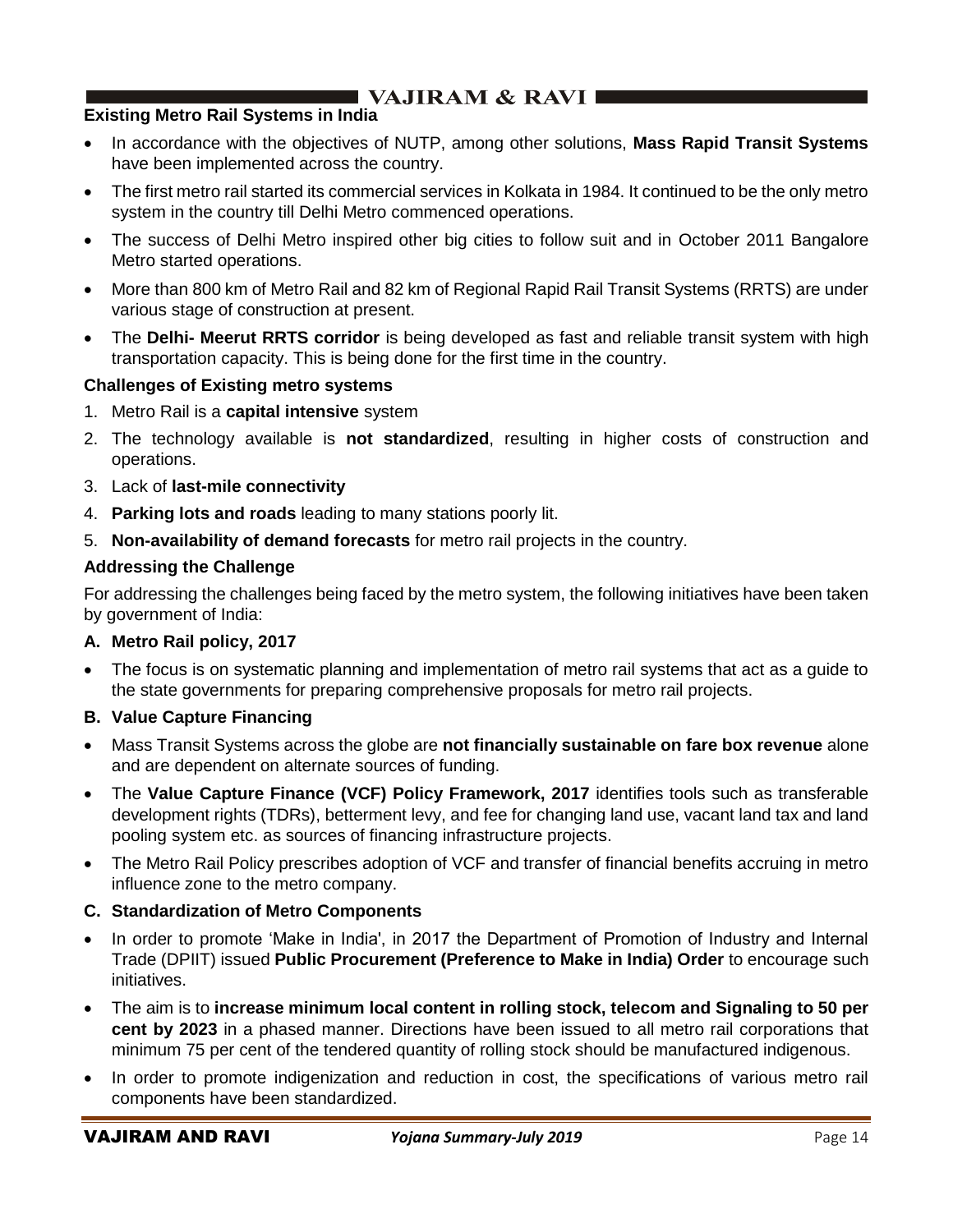### **Existing Metro Rail Systems in India**

- In accordance with the objectives of NUTP, among other solutions, **Mass Rapid Transit Systems** have been implemented across the country.
- The first metro rail started its commercial services in Kolkata in 1984. It continued to be the only metro system in the country till Delhi Metro commenced operations.
- The success of Delhi Metro inspired other big cities to follow suit and in October 2011 Bangalore Metro started operations.
- More than 800 km of Metro Rail and 82 km of Regional Rapid Rail Transit Systems (RRTS) are under various stage of construction at present.
- The **Delhi- Meerut RRTS corridor** is being developed as fast and reliable transit system with high transportation capacity. This is being done for the first time in the country.

### **Challenges of Existing metro systems**

- 1. Metro Rail is a **capital intensive** system
- 2. The technology available is **not standardized**, resulting in higher costs of construction and operations.
- 3. Lack of **last-mile connectivity**
- 4. **Parking lots and roads** leading to many stations poorly lit.
- 5. **Non-availability of demand forecasts** for metro rail projects in the country.

## **Addressing the Challenge**

For addressing the challenges being faced by the metro system, the following initiatives have been taken by government of India:

### **A. Metro Rail policy, 2017**

• The focus is on systematic planning and implementation of metro rail systems that act as a guide to the state governments for preparing comprehensive proposals for metro rail projects.

### **B. Value Capture Financing**

- Mass Transit Systems across the globe are **not financially sustainable on fare box revenue** alone and are dependent on alternate sources of funding.
- The **Value Capture Finance (VCF) Policy Framework, 2017** identifies tools such as transferable development rights (TDRs), betterment levy, and fee for changing land use, vacant land tax and land pooling system etc. as sources of financing infrastructure projects.
- The Metro Rail Policy prescribes adoption of VCF and transfer of financial benefits accruing in metro influence zone to the metro company.

## **C. Standardization of Metro Components**

- In order to promote 'Make in India', in 2017 the Department of Promotion of Industry and Internal Trade (DPIIT) issued **Public Procurement (Preference to Make in India) Order** to encourage such initiatives.
- The aim is to **increase minimum local content in rolling stock, telecom and Signaling to 50 per cent by 2023** in a phased manner. Directions have been issued to all metro rail corporations that minimum 75 per cent of the tendered quantity of rolling stock should be manufactured indigenous.
- In order to promote indigenization and reduction in cost, the specifications of various metro rail components have been standardized.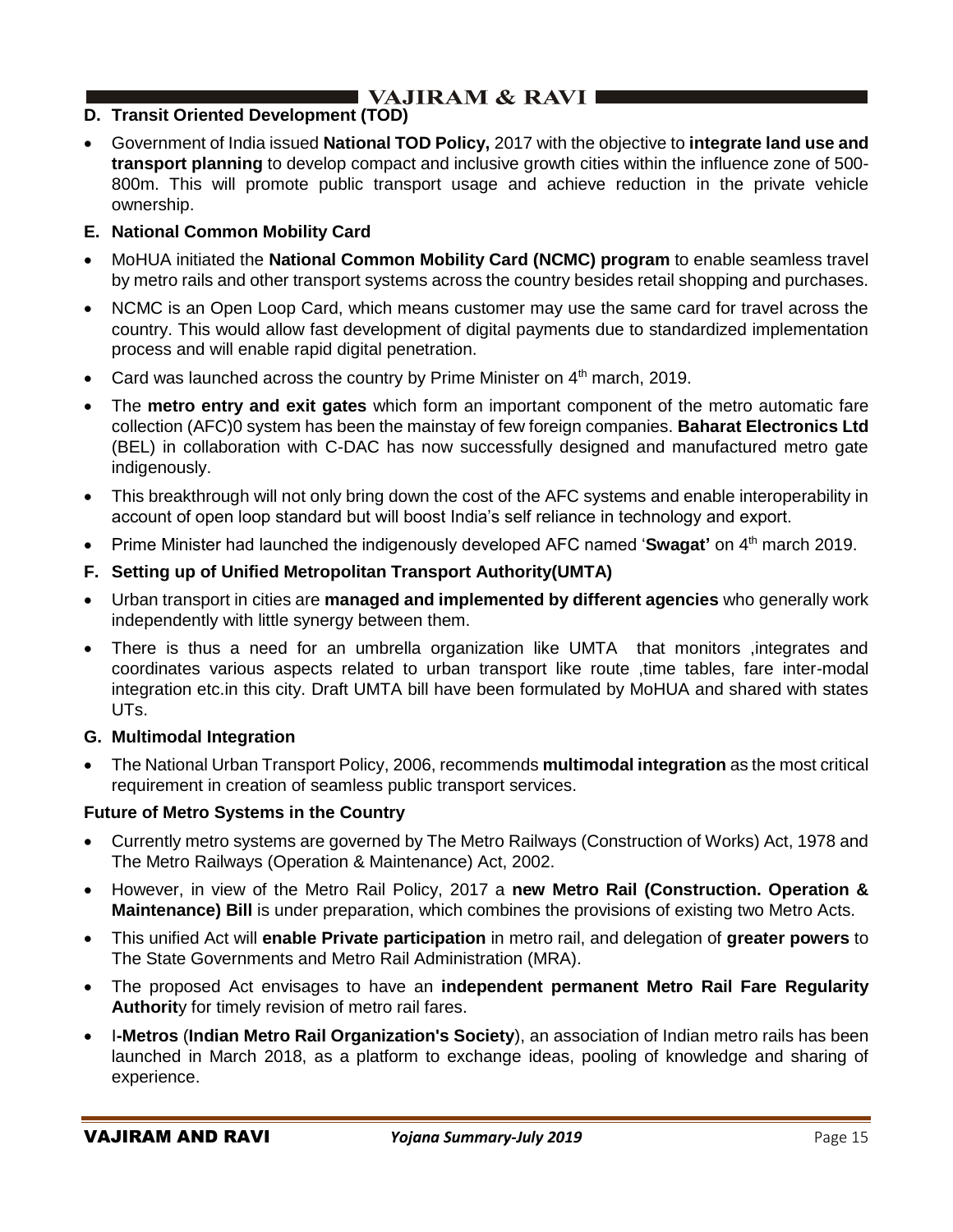## **D. Transit Oriented Development (TOD)**

• Government of India issued **National TOD Policy,** 2017 with the objective to **integrate land use and transport planning** to develop compact and inclusive growth cities within the influence zone of 500- 800m. This will promote public transport usage and achieve reduction in the private vehicle ownership.

## **E. National Common Mobility Card**

- MoHUA initiated the **National Common Mobility Card (NCMC) program** to enable seamless travel by metro rails and other transport systems across the country besides retail shopping and purchases.
- NCMC is an Open Loop Card, which means customer may use the same card for travel across the country. This would allow fast development of digital payments due to standardized implementation process and will enable rapid digital penetration.
- Card was launched across the country by Prime Minister on  $4<sup>th</sup>$  march, 2019.
- The **metro entry and exit gates** which form an important component of the metro automatic fare collection (AFC)0 system has been the mainstay of few foreign companies. **Baharat Electronics Ltd**  (BEL) in collaboration with C-DAC has now successfully designed and manufactured metro gate indigenously.
- This breakthrough will not only bring down the cost of the AFC systems and enable interoperability in account of open loop standard but will boost India's self reliance in technology and export.
- Prime Minister had launched the indigenously developed AFC named '**Swagat'** on 4<sup>th</sup> march 2019.
- **F. Setting up of Unified Metropolitan Transport Authority(UMTA)**
- Urban transport in cities are **managed and implemented by different agencies** who generally work independently with little synergy between them.
- There is thus a need for an umbrella organization like UMTA that monitors ,integrates and coordinates various aspects related to urban transport like route ,time tables, fare inter-modal integration etc.in this city. Draft UMTA bill have been formulated by MoHUA and shared with states UTs.

## **G. Multimodal Integration**

• The National Urban Transport Policy, 2006, recommends **multimodal integration** as the most critical requirement in creation of seamless public transport services.

### **Future of Metro Systems in the Country**

- Currently metro systems are governed by The Metro Railways (Construction of Works) Act, 1978 and The Metro Railways (Operation & Maintenance) Act, 2002.
- However, in view of the Metro Rail Policy, 2017 a **new Metro Rail (Construction. Operation & Maintenance) Bill** is under preparation, which combines the provisions of existing two Metro Acts.
- This unified Act will **enable Private participation** in metro rail, and delegation of **greater powers** to The State Governments and Metro Rail Administration (MRA).
- The proposed Act envisages to have an **independent permanent Metro Rail Fare Regularity Authorit**y for timely revision of metro rail fares.
- I**-Metros** (**Indian Metro Rail Organization's Society**), an association of Indian metro rails has been launched in March 2018, as a platform to exchange ideas, pooling of knowledge and sharing of experience.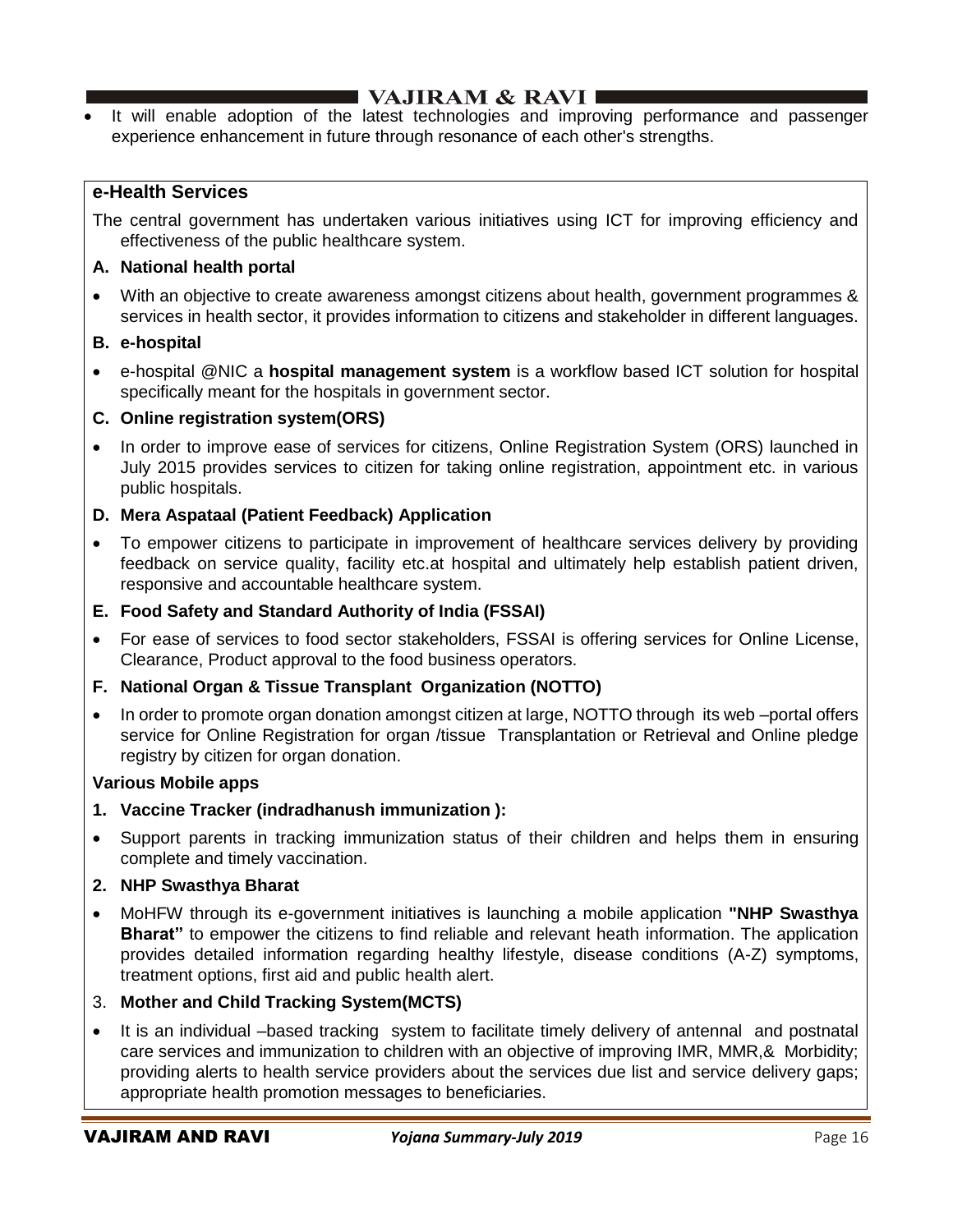# I VAJIRAM  $\&$  RAVI $\blacksquare$

It will enable adoption of the latest technologies and improving performance and passenger experience enhancement in future through resonance of each other's strengths.

## **e-Health Services**

The central government has undertaken various initiatives using ICT for improving efficiency and effectiveness of the public healthcare system.

### **A. National health portal**

• With an objective to create awareness amongst citizens about health, government programmes & services in health sector, it provides information to citizens and stakeholder in different languages.

### **B. e-hospital**

• e-hospital @NIC a **hospital management system** is a workflow based ICT solution for hospital specifically meant for the hospitals in government sector.

## **C. Online registration system(ORS)**

• In order to improve ease of services for citizens, Online Registration System (ORS) launched in July 2015 provides services to citizen for taking online registration, appointment etc. in various public hospitals.

## **D. Mera Aspataal (Patient Feedback) Application**

• To empower citizens to participate in improvement of healthcare services delivery by providing feedback on service quality, facility etc.at hospital and ultimately help establish patient driven, responsive and accountable healthcare system.

## **E. Food Safety and Standard Authority of India (FSSAI)**

• For ease of services to food sector stakeholders, FSSAI is offering services for Online License, Clearance, Product approval to the food business operators.

### **F. National Organ & Tissue Transplant Organization (NOTTO)**

• In order to promote organ donation amongst citizen at large, NOTTO through its web –portal offers service for Online Registration for organ /tissue Transplantation or Retrieval and Online pledge registry by citizen for organ donation.

### **Various Mobile apps**

- **1. Vaccine Tracker (indradhanush immunization ):**
- Support parents in tracking immunization status of their children and helps them in ensuring complete and timely vaccination.

### **2. NHP Swasthya Bharat**

• MoHFW through its e-government initiatives is launching a mobile application **"NHP Swasthya Bharat"** to empower the citizens to find reliable and relevant heath information. The application provides detailed information regarding healthy lifestyle, disease conditions (A-Z) symptoms, treatment options, first aid and public health alert.

## 3. **Mother and Child Tracking System(MCTS)**

• It is an individual –based tracking system to facilitate timely delivery of antennal and postnatal care services and immunization to children with an objective of improving IMR, MMR,& Morbidity; providing alerts to health service providers about the services due list and service delivery gaps; appropriate health promotion messages to beneficiaries.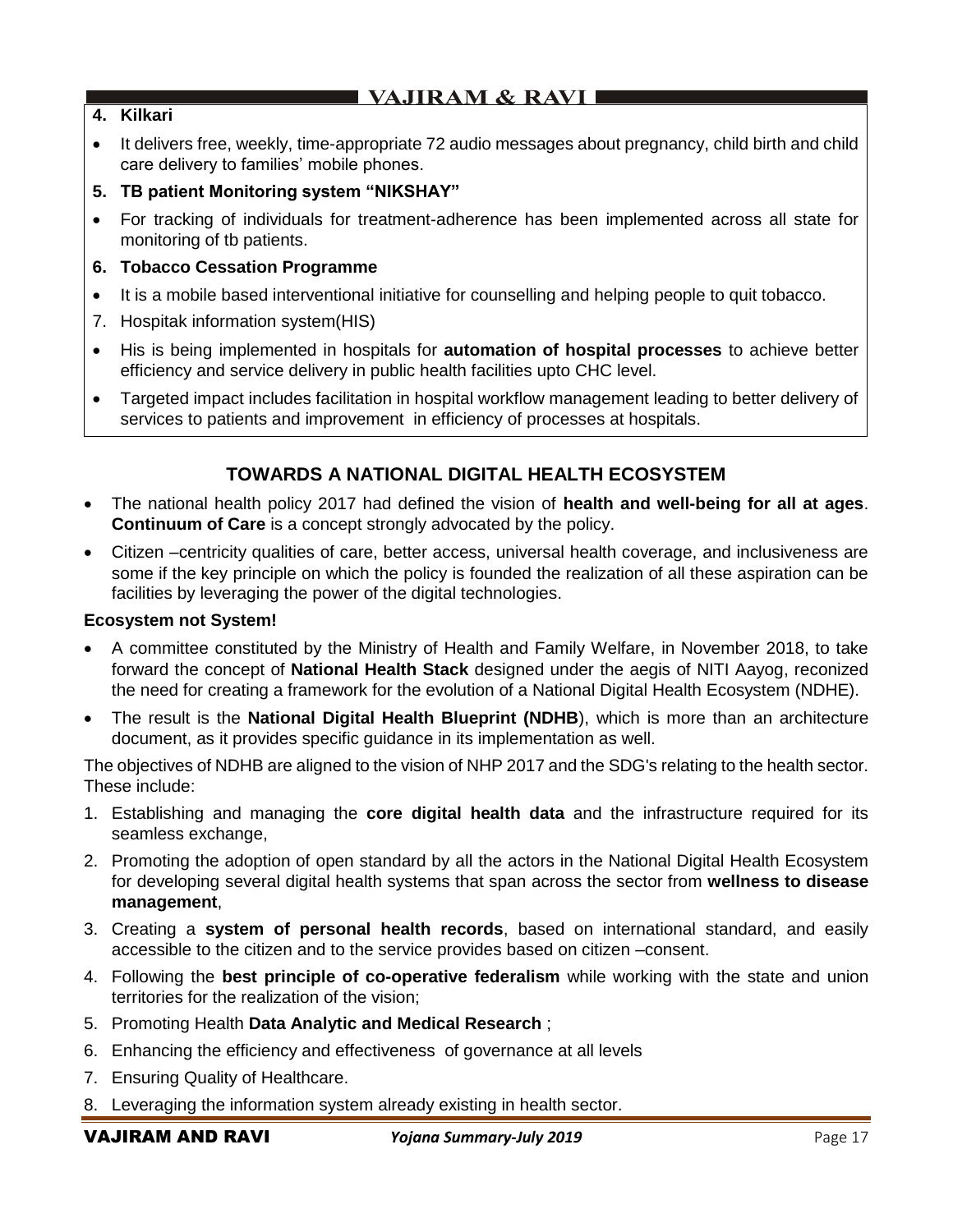### **4. Kilkari**

- It delivers free, weekly, time-appropriate 72 audio messages about pregnancy, child birth and child care delivery to families' mobile phones.
- **5. TB patient Monitoring system "NIKSHAY"**
- For tracking of individuals for treatment-adherence has been implemented across all state for monitoring of tb patients.

### **6. Tobacco Cessation Programme**

- It is a mobile based interventional initiative for counselling and helping people to quit tobacco.
- 7. Hospitak information system(HIS)
- His is being implemented in hospitals for **automation of hospital processes** to achieve better efficiency and service delivery in public health facilities upto CHC level.
- Targeted impact includes facilitation in hospital workflow management leading to better delivery of services to patients and improvement in efficiency of processes at hospitals.

## **TOWARDS A NATIONAL DIGITAL HEALTH ECOSYSTEM**

- The national health policy 2017 had defined the vision of **health and well-being for all at ages**. **Continuum of Care** is a concept strongly advocated by the policy.
- Citizen –centricity qualities of care, better access, universal health coverage, and inclusiveness are some if the key principle on which the policy is founded the realization of all these aspiration can be facilities by leveraging the power of the digital technologies.

### **Ecosystem not System!**

- A committee constituted by the Ministry of Health and Family Welfare, in November 2018, to take forward the concept of **National Health Stack** designed under the aegis of NITI Aayog, reconized the need for creating a framework for the evolution of a National Digital Health Ecosystem (NDHE).
- The result is the **National Digital Health Blueprint (NDHB**), which is more than an architecture document, as it provides specific guidance in its implementation as well.

The objectives of NDHB are aligned to the vision of NHP 2017 and the SDG's relating to the health sector. These include:

- 1. Establishing and managing the **core digital health data** and the infrastructure required for its seamless exchange,
- 2. Promoting the adoption of open standard by all the actors in the National Digital Health Ecosystem for developing several digital health systems that span across the sector from **wellness to disease management**,
- 3. Creating a **system of personal health records**, based on international standard, and easily accessible to the citizen and to the service provides based on citizen –consent.
- 4. Following the **best principle of co-operative federalism** while working with the state and union territories for the realization of the vision;
- 5. Promoting Health **Data Analytic and Medical Research** ;
- 6. Enhancing the efficiency and effectiveness of governance at all levels
- 7. Ensuring Quality of Healthcare.
- 8. Leveraging the information system already existing in health sector.